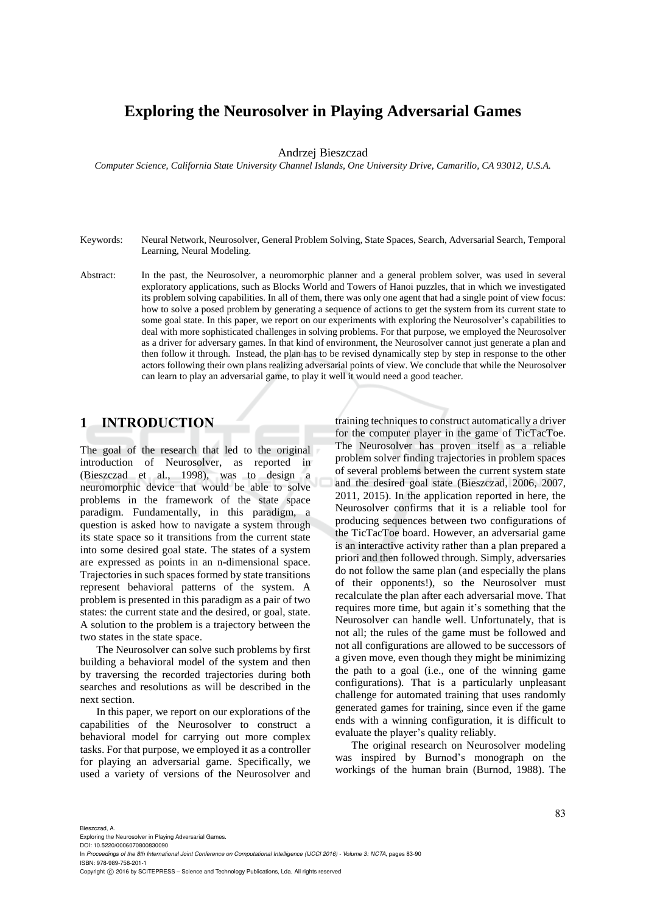# **Exploring the Neurosolver in Playing Adversarial Games**

Andrzej Bieszczad

*Computer Science, California State University Channel Islands, One University Drive, Camarillo, CA 93012, U.S.A.* 

- Keywords: Neural Network, Neurosolver, General Problem Solving, State Spaces, Search, Adversarial Search, Temporal Learning, Neural Modeling.
- Abstract: In the past, the Neurosolver, a neuromorphic planner and a general problem solver, was used in several exploratory applications, such as Blocks World and Towers of Hanoi puzzles, that in which we investigated its problem solving capabilities. In all of them, there was only one agent that had a single point of view focus: how to solve a posed problem by generating a sequence of actions to get the system from its current state to some goal state. In this paper, we report on our experiments with exploring the Neurosolver's capabilities to deal with more sophisticated challenges in solving problems. For that purpose, we employed the Neurosolver as a driver for adversary games. In that kind of environment, the Neurosolver cannot just generate a plan and then follow it through. Instead, the plan has to be revised dynamically step by step in response to the other actors following their own plans realizing adversarial points of view. We conclude that while the Neurosolver can learn to play an adversarial game, to play it well it would need a good teacher.

# **1 INTRODUCTION**

The goal of the research that led to the original introduction of Neurosolver, as reported in (Bieszczad et al., 1998), was to design a neuromorphic device that would be able to solve problems in the framework of the state space paradigm. Fundamentally, in this paradigm, a question is asked how to navigate a system through its state space so it transitions from the current state into some desired goal state. The states of a system are expressed as points in an n-dimensional space. Trajectories in such spaces formed by state transitions represent behavioral patterns of the system. A problem is presented in this paradigm as a pair of two states: the current state and the desired, or goal, state. A solution to the problem is a trajectory between the two states in the state space.

The Neurosolver can solve such problems by first building a behavioral model of the system and then by traversing the recorded trajectories during both searches and resolutions as will be described in the next section.

In this paper, we report on our explorations of the capabilities of the Neurosolver to construct a behavioral model for carrying out more complex tasks. For that purpose, we employed it as a controller for playing an adversarial game. Specifically, we used a variety of versions of the Neurosolver and

training techniques to construct automatically a driver for the computer player in the game of TicTacToe. The Neurosolver has proven itself as a reliable problem solver finding trajectories in problem spaces of several problems between the current system state and the desired goal state (Bieszczad, 2006, 2007, 2011, 2015). In the application reported in here, the Neurosolver confirms that it is a reliable tool for producing sequences between two configurations of the TicTacToe board. However, an adversarial game is an interactive activity rather than a plan prepared a priori and then followed through. Simply, adversaries do not follow the same plan (and especially the plans of their opponents!), so the Neurosolver must recalculate the plan after each adversarial move. That requires more time, but again it's something that the Neurosolver can handle well. Unfortunately, that is not all; the rules of the game must be followed and not all configurations are allowed to be successors of a given move, even though they might be minimizing the path to a goal (i.e., one of the winning game configurations). That is a particularly unpleasant challenge for automated training that uses randomly generated games for training, since even if the game ends with a winning configuration, it is difficult to evaluate the player's quality reliably.

The original research on Neurosolver modeling was inspired by Burnod's monograph on the workings of the human brain (Burnod, 1988). The

Exploring the Neurosolver in Playing Adversarial Games.

DOI: 10.5220/0006070800830090 In *Proceedings of the 8th International Joint Conference on Computational Intelligence (IJCCI 2016) - Volume 3: NCTA*, pages 83-90 ISBN: 978-989-758-201-1

Copyright (C) 2016 by SCITEPRESS - Science and Technology Publications, Lda. All rights reserved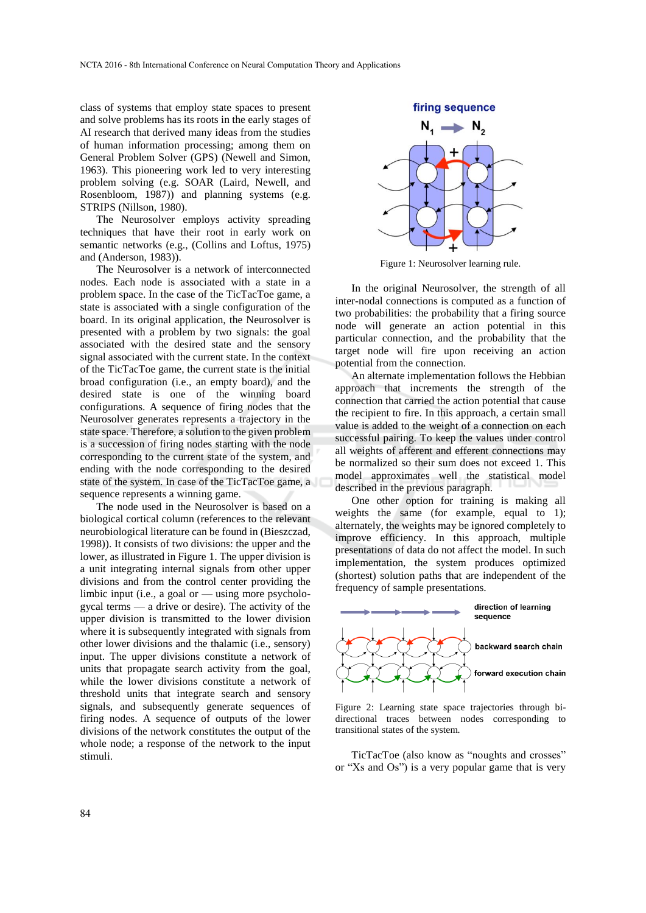class of systems that employ state spaces to present and solve problems has its roots in the early stages of AI research that derived many ideas from the studies of human information processing; among them on General Problem Solver (GPS) (Newell and Simon, 1963). This pioneering work led to very interesting problem solving (e.g. SOAR (Laird, Newell, and Rosenbloom, 1987)) and planning systems (e.g. STRIPS (Nillson, 1980).

The Neurosolver employs activity spreading techniques that have their root in early work on semantic networks (e.g., (Collins and Loftus, 1975) and (Anderson, 1983)).

The Neurosolver is a network of interconnected nodes. Each node is associated with a state in a problem space. In the case of the TicTacToe game, a state is associated with a single configuration of the board. In its original application, the Neurosolver is presented with a problem by two signals: the goal associated with the desired state and the sensory signal associated with the current state. In the context of the TicTacToe game, the current state is the initial broad configuration (i.e., an empty board), and the desired state is one of the winning board configurations. A sequence of firing nodes that the Neurosolver generates represents a trajectory in the state space. Therefore, a solution to the given problem is a succession of firing nodes starting with the node corresponding to the current state of the system, and ending with the node corresponding to the desired state of the system. In case of the TicTacToe game, a sequence represents a winning game.

The node used in the Neurosolver is based on a biological cortical column (references to the relevant neurobiological literature can be found in (Bieszczad, 1998)). It consists of two divisions: the upper and the lower, as illustrated in Figure 1. The upper division is a unit integrating internal signals from other upper divisions and from the control center providing the limbic input (i.e., a goal or — using more psychologycal terms — a drive or desire). The activity of the upper division is transmitted to the lower division where it is subsequently integrated with signals from other lower divisions and the thalamic (i.e., sensory) input. The upper divisions constitute a network of units that propagate search activity from the goal, while the lower divisions constitute a network of threshold units that integrate search and sensory signals, and subsequently generate sequences of firing nodes. A sequence of outputs of the lower divisions of the network constitutes the output of the whole node; a response of the network to the input stimuli.



Figure 1: Neurosolver learning rule.

In the original Neurosolver, the strength of all inter-nodal connections is computed as a function of two probabilities: the probability that a firing source node will generate an action potential in this particular connection, and the probability that the target node will fire upon receiving an action potential from the connection.

An alternate implementation follows the Hebbian approach that increments the strength of the connection that carried the action potential that cause the recipient to fire. In this approach, a certain small value is added to the weight of a connection on each successful pairing. To keep the values under control all weights of afferent and efferent connections may be normalized so their sum does not exceed 1. This model approximates well the statistical model described in the previous paragraph.

One other option for training is making all weights the same (for example, equal to 1); alternately, the weights may be ignored completely to improve efficiency. In this approach, multiple presentations of data do not affect the model. In such implementation, the system produces optimized (shortest) solution paths that are independent of the frequency of sample presentations.



Figure 2: Learning state space trajectories through bidirectional traces between nodes corresponding to transitional states of the system.

TicTacToe (also know as "noughts and crosses" or "Xs and Os") is a very popular game that is very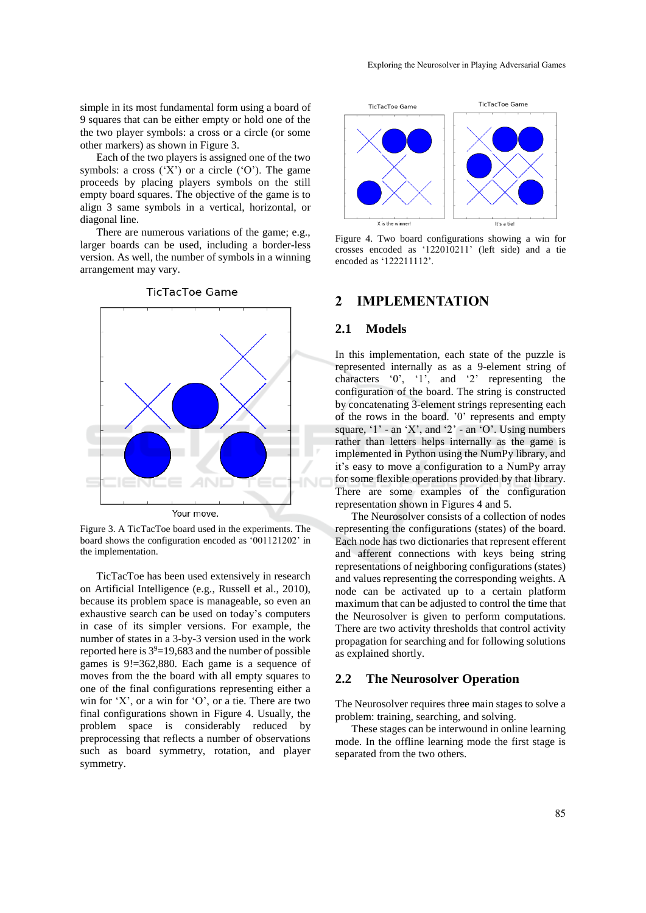simple in its most fundamental form using a board of 9 squares that can be either empty or hold one of the the two player symbols: a cross or a circle (or some other markers) as shown in Figure 3.

Each of the two players is assigned one of the two symbols: a cross  $(X')$  or a circle  $(0')$ . The game proceeds by placing players symbols on the still empty board squares. The objective of the game is to align 3 same symbols in a vertical, horizontal, or diagonal line.

There are numerous variations of the game; e.g., larger boards can be used, including a border-less version. As well, the number of symbols in a winning arrangement may vary.



Figure 3. A TicTacToe board used in the experiments. The board shows the configuration encoded as '001121202' in the implementation.

TicTacToe has been used extensively in research on Artificial Intelligence (e.g., Russell et al., 2010), because its problem space is manageable, so even an exhaustive search can be used on today's computers in case of its simpler versions. For example, the number of states in a 3-by-3 version used in the work reported here is  $3^9 = 19,683$  and the number of possible games is 9!=362,880. Each game is a sequence of moves from the the board with all empty squares to one of the final configurations representing either a win for 'X', or a win for 'O', or a tie. There are two final configurations shown in Figure 4. Usually, the problem space is considerably reduced by preprocessing that reflects a number of observations such as board symmetry, rotation, and player symmetry.



Figure 4. Two board configurations showing a win for crosses encoded as '122010211' (left side) and a tie encoded as '122211112'.

### **2 IMPLEMENTATION**

#### **2.1 Models**

In this implementation, each state of the puzzle is represented internally as as a 9-element string of characters '0', '1', and '2' representing the configuration of the board. The string is constructed by concatenating 3-element strings representing each of the rows in the board. '0' represents and empty square,  $'1'$  - an  $'X'$ , and  $'2'$  - an  $'0'$ . Using numbers rather than letters helps internally as the game is implemented in Python using the NumPy library, and it's easy to move a configuration to a NumPy array for some flexible operations provided by that library. There are some examples of the configuration representation shown in Figures 4 and 5.

The Neurosolver consists of a collection of nodes representing the configurations (states) of the board. Each node has two dictionaries that represent efferent and afferent connections with keys being string representations of neighboring configurations (states) and values representing the corresponding weights. A node can be activated up to a certain platform maximum that can be adjusted to control the time that the Neurosolver is given to perform computations. There are two activity thresholds that control activity propagation for searching and for following solutions as explained shortly.

#### **2.2 The Neurosolver Operation**

The Neurosolver requires three main stages to solve a problem: training, searching, and solving.

These stages can be interwound in online learning mode. In the offline learning mode the first stage is separated from the two others.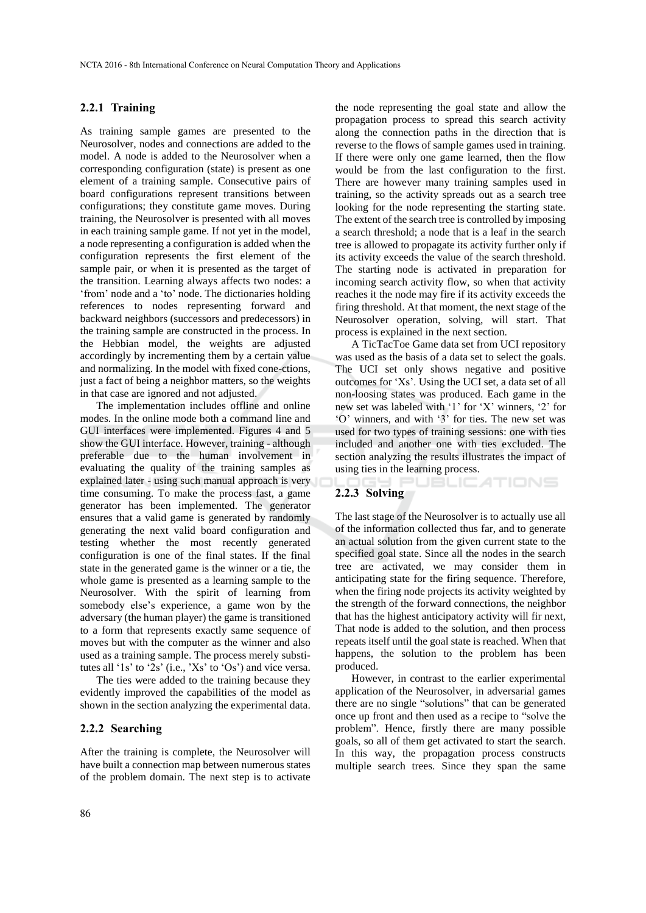#### **2.2.1 Training**

As training sample games are presented to the Neurosolver, nodes and connections are added to the model. A node is added to the Neurosolver when a corresponding configuration (state) is present as one element of a training sample. Consecutive pairs of board configurations represent transitions between configurations; they constitute game moves. During training, the Neurosolver is presented with all moves in each training sample game. If not yet in the model, a node representing a configuration is added when the configuration represents the first element of the sample pair, or when it is presented as the target of the transition. Learning always affects two nodes: a 'from' node and a 'to' node. The dictionaries holding references to nodes representing forward and backward neighbors (successors and predecessors) in the training sample are constructed in the process. In the Hebbian model, the weights are adjusted accordingly by incrementing them by a certain value and normalizing. In the model with fixed cone-ctions, just a fact of being a neighbor matters, so the weights in that case are ignored and not adjusted.

The implementation includes offline and online modes. In the online mode both a command line and GUI interfaces were implemented. Figures 4 and 5 show the GUI interface. However, training - although preferable due to the human involvement in evaluating the quality of the training samples as explained later - using such manual approach is very time consuming. To make the process fast, a game generator has been implemented. The generator ensures that a valid game is generated by randomly generating the next valid board configuration and testing whether the most recently generated configuration is one of the final states. If the final state in the generated game is the winner or a tie, the whole game is presented as a learning sample to the Neurosolver. With the spirit of learning from somebody else's experience, a game won by the adversary (the human player) the game is transitioned to a form that represents exactly same sequence of moves but with the computer as the winner and also used as a training sample. The process merely substitutes all '1s' to '2s' (i.e., 'Xs' to 'Os') and vice versa.

The ties were added to the training because they evidently improved the capabilities of the model as shown in the section analyzing the experimental data.

#### **2.2.2 Searching**

After the training is complete, the Neurosolver will have built a connection map between numerous states of the problem domain. The next step is to activate

the node representing the goal state and allow the propagation process to spread this search activity along the connection paths in the direction that is reverse to the flows of sample games used in training. If there were only one game learned, then the flow would be from the last configuration to the first. There are however many training samples used in training, so the activity spreads out as a search tree looking for the node representing the starting state. The extent of the search tree is controlled by imposing a search threshold; a node that is a leaf in the search tree is allowed to propagate its activity further only if its activity exceeds the value of the search threshold. The starting node is activated in preparation for incoming search activity flow, so when that activity reaches it the node may fire if its activity exceeds the firing threshold. At that moment, the next stage of the Neurosolver operation, solving, will start. That process is explained in the next section.

A TicTacToe Game data set from UCI repository was used as the basis of a data set to select the goals. The UCI set only shows negative and positive outcomes for 'Xs'. Using the UCI set, a data set of all non-loosing states was produced. Each game in the new set was labeled with '1' for 'X' winners, '2' for 'O' winners, and with '3' for ties. The new set was used for two types of training sessions: one with ties included and another one with ties excluded. The section analyzing the results illustrates the impact of using ties in the learning process.

UBLICATIONS

#### **2.2.3 Solving**

The last stage of the Neurosolver is to actually use all of the information collected thus far, and to generate an actual solution from the given current state to the specified goal state. Since all the nodes in the search tree are activated, we may consider them in anticipating state for the firing sequence. Therefore, when the firing node projects its activity weighted by the strength of the forward connections, the neighbor that has the highest anticipatory activity will fir next, That node is added to the solution, and then process repeats itself until the goal state is reached. When that happens, the solution to the problem has been produced.

However, in contrast to the earlier experimental application of the Neurosolver, in adversarial games there are no single "solutions" that can be generated once up front and then used as a recipe to "solve the problem". Hence, firstly there are many possible goals, so all of them get activated to start the search. In this way, the propagation process constructs multiple search trees. Since they span the same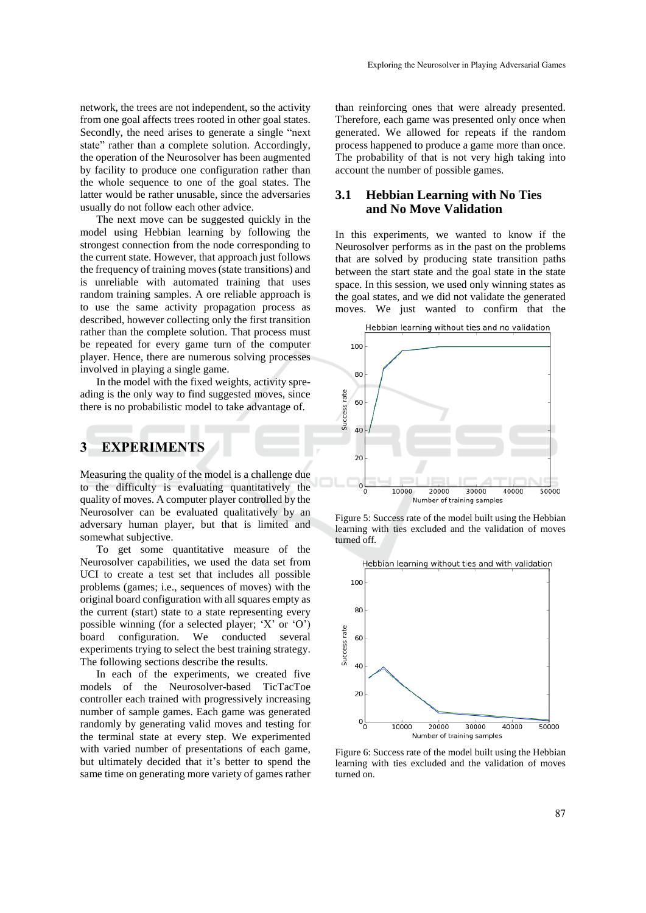network, the trees are not independent, so the activity from one goal affects trees rooted in other goal states. Secondly, the need arises to generate a single "next state" rather than a complete solution. Accordingly, the operation of the Neurosolver has been augmented by facility to produce one configuration rather than the whole sequence to one of the goal states. The latter would be rather unusable, since the adversaries usually do not follow each other advice.

The next move can be suggested quickly in the model using Hebbian learning by following the strongest connection from the node corresponding to the current state. However, that approach just follows the frequency of training moves(state transitions) and is unreliable with automated training that uses random training samples. A ore reliable approach is to use the same activity propagation process as described, however collecting only the first transition rather than the complete solution. That process must be repeated for every game turn of the computer player. Hence, there are numerous solving processes involved in playing a single game.

In the model with the fixed weights, activity spreading is the only way to find suggested moves, since there is no probabilistic model to take advantage of.

### **3 EXPERIMENTS**

Measuring the quality of the model is a challenge due to the difficulty is evaluating quantitatively the quality of moves. A computer player controlled by the Neurosolver can be evaluated qualitatively by an adversary human player, but that is limited and somewhat subjective.

To get some quantitative measure of the Neurosolver capabilities, we used the data set from UCI to create a test set that includes all possible problems (games; i.e., sequences of moves) with the original board configuration with all squares empty as the current (start) state to a state representing every possible winning (for a selected player; 'X' or 'O') board configuration. We conducted several experiments trying to select the best training strategy. The following sections describe the results.

In each of the experiments, we created five models of the Neurosolver-based TicTacToe controller each trained with progressively increasing number of sample games. Each game was generated randomly by generating valid moves and testing for the terminal state at every step. We experimented with varied number of presentations of each game, but ultimately decided that it's better to spend the same time on generating more variety of games rather

than reinforcing ones that were already presented. Therefore, each game was presented only once when generated. We allowed for repeats if the random process happened to produce a game more than once. The probability of that is not very high taking into account the number of possible games.

# **3.1 Hebbian Learning with No Ties and No Move Validation**

In this experiments, we wanted to know if the Neurosolver performs as in the past on the problems that are solved by producing state transition paths between the start state and the goal state in the state space. In this session, we used only winning states as the goal states, and we did not validate the generated moves. We just wanted to confirm that the



Figure 5: Success rate of the model built using the Hebbian learning with ties excluded and the validation of moves turned off.



Figure 6: Success rate of the model built using the Hebbian learning with ties excluded and the validation of moves turned on.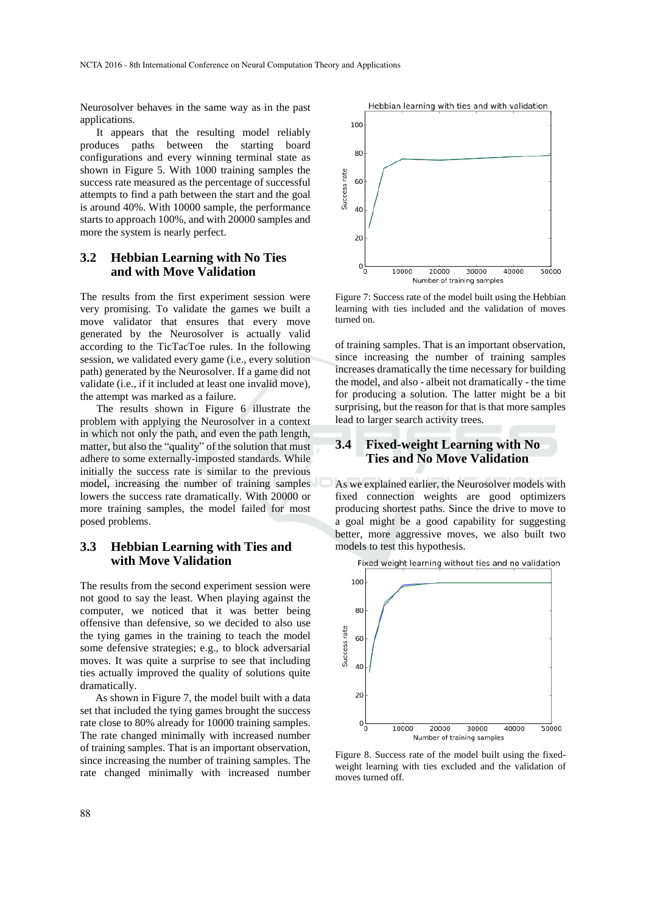Neurosolver behaves in the same way as in the past applications.

It appears that the resulting model reliably produces paths between the starting board configurations and every winning terminal state as shown in Figure 5. With 1000 training samples the success rate measured as the percentage of successful attempts to find a path between the start and the goal is around 40%. With 10000 sample, the performance starts to approach 100%, and with 20000 samples and more the system is nearly perfect.

### **3.2 Hebbian Learning with No Ties and with Move Validation**

The results from the first experiment session were very promising. To validate the games we built a move validator that ensures that every move generated by the Neurosolver is actually valid according to the TicTacToe rules. In the following session, we validated every game (i.e., every solution path) generated by the Neurosolver. If a game did not validate (i.e., if it included at least one invalid move), the attempt was marked as a failure.

The results shown in Figure 6 illustrate the problem with applying the Neurosolver in a context in which not only the path, and even the path length, matter, but also the "quality" of the solution that must adhere to some externally-imposted standards. While initially the success rate is similar to the previous model, increasing the number of training samples lowers the success rate dramatically. With 20000 or more training samples, the model failed for most posed problems.

#### **3.3 Hebbian Learning with Ties and with Move Validation**

The results from the second experiment session were not good to say the least. When playing against the computer, we noticed that it was better being offensive than defensive, so we decided to also use the tying games in the training to teach the model some defensive strategies; e.g., to block adversarial moves. It was quite a surprise to see that including ties actually improved the quality of solutions quite dramatically.

As shown in Figure 7, the model built with a data set that included the tying games brought the success rate close to 80% already for 10000 training samples. The rate changed minimally with increased number of training samples. That is an important observation, since increasing the number of training samples. The rate changed minimally with increased number



Figure 7: Success rate of the model built using the Hebbian learning with ties included and the validation of moves turned on.

of training samples. That is an important observation, since increasing the number of training samples increases dramatically the time necessary for building the model, and also - albeit not dramatically - the time for producing a solution. The latter might be a bit surprising, but the reason for that is that more samples lead to larger search activity trees.

# **3.4 Fixed-weight Learning with No Ties and No Move Validation**

As we explained earlier, the Neurosolver models with fixed connection weights are good optimizers producing shortest paths. Since the drive to move to a goal might be a good capability for suggesting better, more aggressive moves, we also built two models to test this hypothesis.



Figure 8. Success rate of the model built using the fixedweight learning with ties excluded and the validation of moves turned off.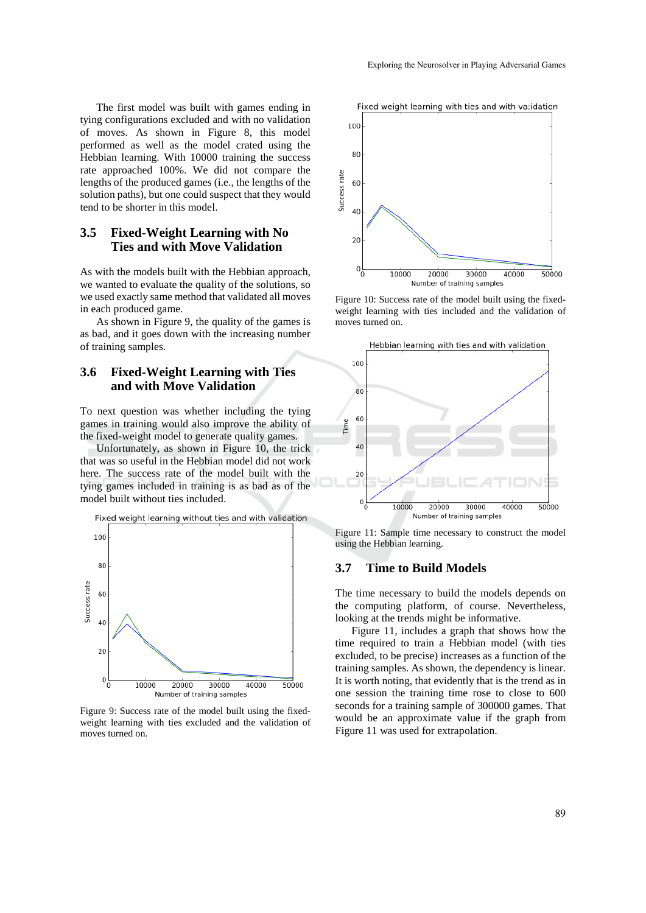The first model was built with games ending in tying configurations excluded and with no validation of moves. As shown in Figure 8, this model performed as well as the model crated using the Hebbian learning. With 10000 training the success rate approached 100%. We did not compare the lengths of the produced games (i.e., the lengths of the solution paths), but one could suspect that they would tend to be shorter in this model.

# **3.5 Fixed-Weight Learning with No Ties and with Move Validation**

As with the models built with the Hebbian approach, we wanted to evaluate the quality of the solutions, so we used exactly same method that validated all moves in each produced game.

As shown in Figure 9, the quality of the games is as bad, and it goes down with the increasing number of training samples.

#### **3.6 Fixed-Weight Learning with Ties and with Move Validation**

To next question was whether including the tying games in training would also improve the ability of the fixed-weight model to generate quality games.

Unfortunately, as shown in Figure 10, the trick that was so useful in the Hebbian model did not work here. The success rate of the model built with the tying games included in training is as bad as of the model built without ties included.

Fixed weight learning without ties and with validation



Figure 9: Success rate of the model built using the fixedweight learning with ties excluded and the validation of moves turned on.





Figure 10: Success rate of the model built using the fixedweight learning with ties included and the validation of moves turned on.



Figure 11: Sample time necessary to construct the model using the Hebbian learning.

#### **3.7 Time to Build Models**

The time necessary to build the models depends on the computing platform, of course. Nevertheless, looking at the trends might be informative.

Figure 11, includes a graph that shows how the time required to train a Hebbian model (with ties excluded, to be precise) increases as a function of the training samples. As shown, the dependency is linear. It is worth noting, that evidently that is the trend as in one session the training time rose to close to 600 seconds for a training sample of 300000 games. That would be an approximate value if the graph from Figure 11 was used for extrapolation.